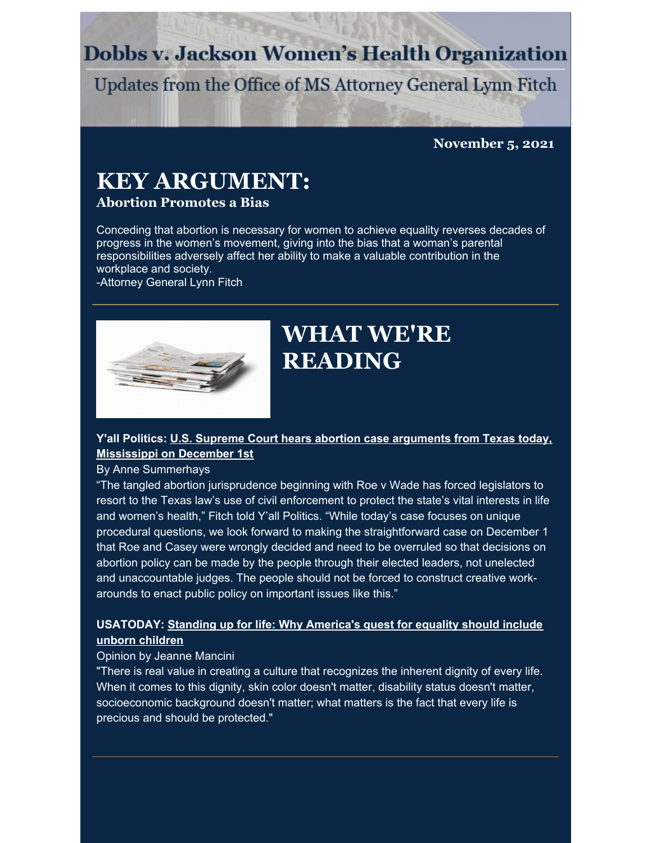### **Dobbs v. Jackson Women's Health Organization**

Updates from the Office of MS Attorney General Lynn Fitch

### **November 5, 2021**

## **KEY ARGUMENT:**

### **Abortion Promotes a Bias**

Conceding that abortion is necessary for women to achieve equality reverses decades of progress in the women's movement, giving into the bias that a woman's parental responsibilities adversely affect her ability to make a valuable contribution in the workplace and society.

-Attorney General Lynn Fitch



## **WHAT WE'RE READING**

### **Y'all Politics: U.S. Supreme Court hears abortion case arguments from Texas today, [Mississippi](https://yallpolitics.com/2021/11/01/u-s-supreme-court-hears-abortion-case-arguments-from-texas-today-mississippi-on-december-1st/) on December 1st**

By Anne Summerhays

"The tangled abortion jurisprudence beginning with Roe v Wade has forced legislators to resort to the Texas law's use of civil enforcement to protect the state's vital interests in life and women's health," Fitch told Y'all Politics. "While today's case focuses on unique procedural questions, we look forward to making the straightforward case on December 1 that Roe and Casey were wrongly decided and need to be overruled so that decisions on abortion policy can be made by the people through their elected leaders, not unelected and unaccountable judges. The people should not be forced to construct creative workarounds to enact public policy on important issues like this."

### **[USATODAY:](https://www.usatoday.com/story/opinion/2021/10/27/abortion-equality-must-include-unborn-children/6136660001/) Standing up for life: Why America's quest for equality should include unborn children**

#### Opinion by Jeanne Mancini

"There is real value in creating a culture that recognizes the inherent dignity of every life. When it comes to this dignity, skin color doesn't matter, disability status doesn't matter, socioeconomic background doesn't matter; what matters is the fact that every life is precious and should be protected."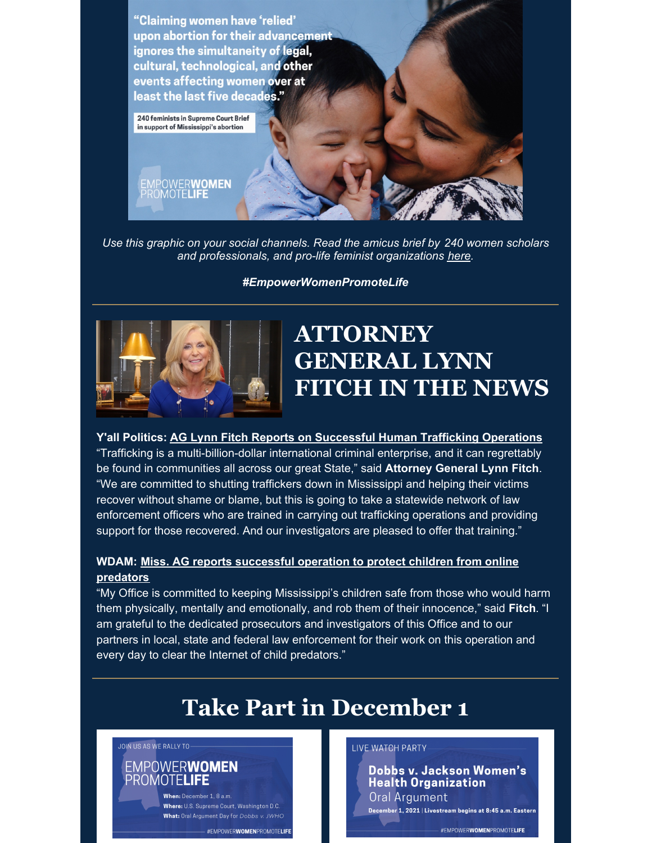

*Use this graphic on your social channels. Read the amicus brief by 240 women scholars and professionals, and pro-life feminist organizations [here](https://www.supremecourt.gov/DocketPDF/19/19-1392/185366/20210804180314919_19-1392 Brief of 240 Women Scholars et al In Support of Petitioners.pdf).*

*#EmpowerWomenPromoteLife*



# **ATTORNEY GENERAL LYNN FITCH IN THE NEWS**

**Y'all Politics: AG Lynn Fitch Reports on [Successful](https://yallpolitics.com/2021/11/03/ag-lynn-fitch-reports-on-successful-human-trafficking-operations/) Human Trafficking Operations**

"Trafficking is a multi-billion-dollar international criminal enterprise, and it can regrettably be found in communities all across our great State," said **Attorney General Lynn Fitch**. "We are committed to shutting traffickers down in Mississippi and helping their victims recover without shame or blame, but this is going to take a statewide network of law enforcement officers who are trained in carrying out trafficking operations and providing support for those recovered. And our investigators are pleased to offer that training."

### **WDAM: Miss. AG reports [successful](https://www.wdam.com/2021/11/01/attorney-general-fitch-reports-successful-operation-protect-children-online-predators/) operation to protect children from online predators**

"My Office is committed to keeping Mississippi's children safe from those who would harm them physically, mentally and emotionally, and rob them of their innocence," said **Fitch**. "I am grateful to the dedicated prosecutors and investigators of this Office and to our partners in local, state and federal law enforcement for their work on this operation and every day to clear the Internet of child predators."

# **Take Part in December 1**

#### JOIN US AS WE RALLY TO-

### EMPOWERWOMEN PROMOTELIFE When: December 1, 8 a.m.

Where: U.S. Supreme Court. Washington D.C. What: Oral Argument Day for Dobbs v. JWHO #EMPOWERWOMENPROMOTELIFE

#### **LIVE WATCH PARTY**

Dobbs v. Jackson Women's **Health Organization** Oral Argument December 1, 2021 | Livestream begins at 8:45 a.m. Eastern #EMPOWERWOMENPROMOTELIFE